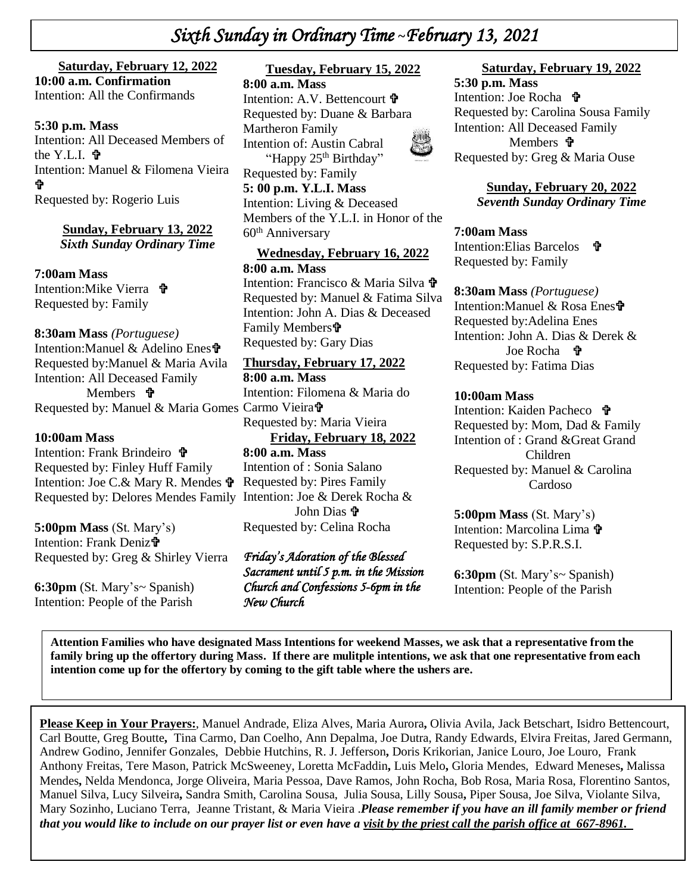# *Sixth Sunday in Ordinary Time* **~***February 13, 2021*

#### **Saturday, February 12, 2022**

**+**  Intention: All the Confirmands **10:00 a.m. Confirmation**

#### the Y.L.I.  $\mathbf{\hat{v}}$ **5:30 p.m. Mass**  Intention: All Deceased Members of Intention: Manuel & Filomena Vieira Ÿ Requested by: Rogerio Luis

#### **Sunday, February 13, 2022** *Sixth Sunday Ordinary Time*

**7:00am Mass**  Intention:Mike Vierra **立** Requested by: Family

#### **8:30am Mass** *(Portuguese)*

Intention:Manuel & Adelino Enes Requested by:Manuel & Maria Avila Intention: All Deceased Family Members *T* Requested by: Manuel & Maria Gomes Carmo Vieirat

#### **10:00am Mass**

Intention: Frank Brindeiro <sup>+</sup> Requested by: Finley Huff Family Intention: Joe C.& Mary R. Mendes Requested by: Delores Mendes Family Intention: Joe & Derek Rocha &

**5:00pm Mass** (St. Mary's) Intention: Frank Deniz<sup>t</sup> Requested by: Greg & Shirley Vierra

**6:30pm** (St. Mary's~ Spanish) Intention: People of the Parish

#### **Tuesday, February 15, 2022**

**8:00 a.m. Mass** Intention: A.V. Bettencourt **†** Requested by: Duane & Barbara Martheron Family Intention of: Austin Cabral "Happy 25<sup>th</sup> Birthday" Requested by: Family **5: 00 p.m. Y.L.I. Mass**  Intention: Living & Deceased Members of the Y.L.I. in Honor of the 60th Anniversary

#### **Wednesday, February 16, 2022 8:00 a.m. Mass** Intention: Francisco & Maria Silva

Requested by: Manuel & Fatima Silva Intention: John A. Dias & Deceased Family Members Requested by: Gary Dias

#### **Thursday, February 17, 2022**

**8:00 a.m. Mass** Intention: Filomena & Maria do Requested by: Maria Vieira

**Friday, February 18, 2022**

**8:00 a.m. Mass** Intention of : Sonia Salano Requested by: Pires Family John Dias **f** Requested by: Celina Rocha

#### *Friday's Adoration of the Blessed Sacrament until 5 p.m. in the Mission Church and Confessions 5-6pm in the New Church*

### **Saturday, February 19, 2022**

**5:30 p.m. Mass**  Intention: Joe Rocha Requested by: Carolina Sousa Family Intention: All Deceased Family Members *P* Requested by: Greg & Maria Ouse

> **Sunday, February 20, 2022** *Seventh Sunday Ordinary Time*

**7:00am Mass**  Intention:Elias Barcelos **t** Requested by: Family

#### **8:30am Mass** *(Portuguese)*

Intention:Manuel & Rosa Enes Requested by:Adelina Enes Intention: John A. Dias & Derek & Joe Rocha **争** Requested by: Fatima Dias

#### **10:00am Mass**

Intention: Kaiden Pacheco **t** Requested by: Mom, Dad & Family Intention of : Grand &Great Grand Children Requested by: Manuel & Carolina Cardoso

**5:00pm Mass** (St. Mary's) Intention: Marcolina Lima  $\mathbf{\hat{\mathbf{F}}}$ Requested by: S.P.R.S.I.

**6:30pm** (St. Mary's~ Spanish) Intention: People of the Parish

 **Attention Families who have designated Mass Intentions for weekend Masses, we ask that a representative from the family bring up the offertory during Mass. If there are mulitple intentions, we ask that one representative from each intention come up for the offertory by coming to the gift table where the ushers are.**

**Please Keep in Your Prayers:**, Manuel Andrade, Eliza Alves, Maria Aurora**,** Olivia Avila, Jack Betschart, Isidro Bettencourt, Carl Boutte, Greg Boutte**,** Tina Carmo, Dan Coelho, Ann Depalma, Joe Dutra, Randy Edwards, Elvira Freitas, Jared Germann, Andrew Godino, Jennifer Gonzales, Debbie Hutchins, R. J. Jefferson**,** Doris Krikorian, Janice Louro, Joe Louro, Frank Anthony Freitas, Tere Mason, Patrick McSweeney, Loretta McFaddin**,** Luis Melo**,** Gloria Mendes, Edward Meneses**,** Malissa Mendes**,** Nelda Mendonca, Jorge Oliveira, Maria Pessoa, Dave Ramos, John Rocha, Bob Rosa, Maria Rosa, Florentino Santos, Manuel Silva, Lucy Silveira**,** Sandra Smith, Carolina Sousa, Julia Sousa, Lilly Sousa**,** Piper Sousa, Joe Silva, Violante Silva, Mary Sozinho, Luciano Terra, Jeanne Tristant, & Maria Vieira .*Please remember if you have an ill family member or friend that you would like to include on our prayer list or even have a visit by the priest call the parish office at 667-8961.*